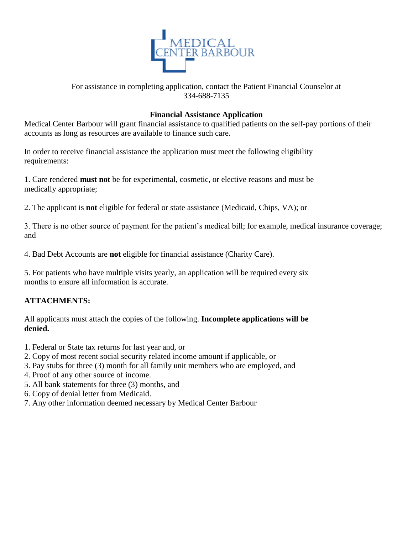

#### For assistance in completing application, contact the Patient Financial Counselor at 334-688-7135

#### **Financial Assistance Application**

Medical Center Barbour will grant financial assistance to qualified patients on the self-pay portions of their accounts as long as resources are available to finance such care.

In order to receive financial assistance the application must meet the following eligibility requirements:

1. Care rendered **must not** be for experimental, cosmetic, or elective reasons and must be medically appropriate;

2. The applicant is **not** eligible for federal or state assistance (Medicaid, Chips, VA); or

3. There is no other source of payment for the patient's medical bill; for example, medical insurance coverage; and

4. Bad Debt Accounts are **not** eligible for financial assistance (Charity Care).

5. For patients who have multiple visits yearly, an application will be required every six months to ensure all information is accurate.

#### **ATTACHMENTS:**

All applicants must attach the copies of the following. **Incomplete applications will be denied.**

- 1. Federal or State tax returns for last year and, or
- 2. Copy of most recent social security related income amount if applicable, or
- 3. Pay stubs for three (3) month for all family unit members who are employed, and
- 4. Proof of any other source of income.
- 5. All bank statements for three (3) months, and
- 6. Copy of denial letter from Medicaid.
- 7. Any other information deemed necessary by Medical Center Barbour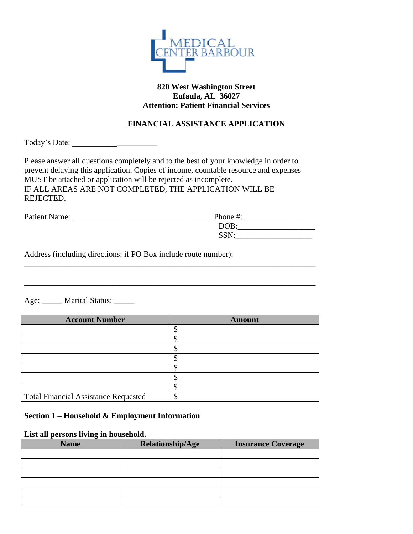

#### **820 West Washington Street Eufaula, AL 36027 Attention: Patient Financial Services**

#### **FINANCIAL ASSISTANCE APPLICATION**

Today's Date: \_\_\_\_\_\_\_\_\_\_\_\_\_\_\_\_\_\_\_\_\_

Please answer all questions completely and to the best of your knowledge in order to prevent delaying this application. Copies of income, countable resource and expenses MUST be attached or application will be rejected as incomplete. IF ALL AREAS ARE NOT COMPLETED, THE APPLICATION WILL BE REJECTED.

| Patient Name: | Phone #: |
|---------------|----------|
|               | DOB:     |
|               | SSN:     |

\_\_\_\_\_\_\_\_\_\_\_\_\_\_\_\_\_\_\_\_\_\_\_\_\_\_\_\_\_\_\_\_\_\_\_\_\_\_\_\_\_\_\_\_\_\_\_\_\_\_\_\_\_\_\_\_\_\_\_\_\_\_\_\_\_\_\_\_\_\_\_\_

\_\_\_\_\_\_\_\_\_\_\_\_\_\_\_\_\_\_\_\_\_\_\_\_\_\_\_\_\_\_\_\_\_\_\_\_\_\_\_\_\_\_\_\_\_\_\_\_\_\_\_\_\_\_\_\_\_\_\_\_\_\_\_\_\_\_\_\_\_\_\_\_

Address (including directions: if PO Box include route number):

Age: \_\_\_\_\_ Marital Status: \_\_\_\_\_

| <b>Account Number</b>                       | <b>Amount</b> |
|---------------------------------------------|---------------|
|                                             |               |
|                                             |               |
|                                             |               |
|                                             |               |
|                                             |               |
|                                             |               |
|                                             |               |
| <b>Total Financial Assistance Requested</b> |               |

#### **Section 1 – Household & Employment Information**

#### **List all persons living in household.**

| <b>Name</b> | Relationship/Age | <b>Insurance Coverage</b> |
|-------------|------------------|---------------------------|
|             |                  |                           |
|             |                  |                           |
|             |                  |                           |
|             |                  |                           |
|             |                  |                           |
|             |                  |                           |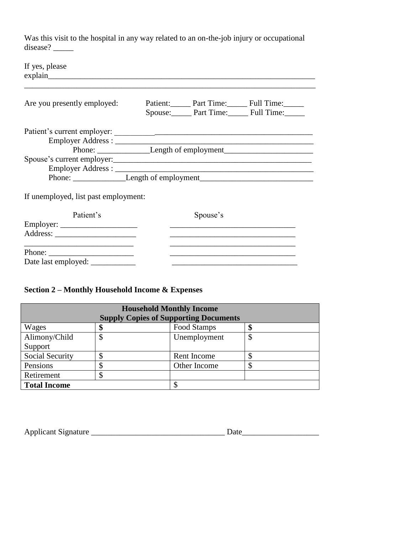Was this visit to the hospital in any way related to an on-the-job injury or occupational disease?

| If yes, please                                                                    |  |                                                             |                                                                                   |
|-----------------------------------------------------------------------------------|--|-------------------------------------------------------------|-----------------------------------------------------------------------------------|
| Are you presently employed:                                                       |  |                                                             | Patient: Part Time: Full Time:<br>Spouse: Part Time: Full Time:                   |
|                                                                                   |  |                                                             |                                                                                   |
|                                                                                   |  |                                                             |                                                                                   |
|                                                                                   |  |                                                             | Phone: ___________________Length of employment___________________________________ |
| Spouse's current employer:                                                        |  |                                                             |                                                                                   |
|                                                                                   |  |                                                             |                                                                                   |
| Phone: ____________________Length of employment__________________________________ |  |                                                             |                                                                                   |
| If unemployed, list past employment:<br>Patient's                                 |  | Spouse's                                                    |                                                                                   |
|                                                                                   |  | <u> 1989 - Johann Stoff, amerikansk politiker (d. 1989)</u> |                                                                                   |
|                                                                                   |  |                                                             |                                                                                   |

Phone: \_\_\_\_\_\_\_\_\_\_\_\_\_\_\_\_\_\_\_\_\_ \_\_\_\_\_\_\_\_\_\_\_\_\_\_\_\_\_\_\_\_\_\_\_\_\_\_\_\_\_\_\_ Date last employed: \_\_\_\_\_\_\_\_\_\_\_ \_\_\_\_\_\_\_\_\_\_\_\_\_\_\_\_\_\_\_\_\_\_\_\_\_\_\_\_\_\_\_

#### **Section 2 – Monthly Household Income & Expenses**

| <b>Household Monthly Income</b><br><b>Supply Copies of Supporting Documents</b> |    |              |    |
|---------------------------------------------------------------------------------|----|--------------|----|
| Wages                                                                           | Φ  | Food Stamps  | \$ |
| Alimony/Child                                                                   | \$ | Unemployment | \$ |
| Support                                                                         |    |              |    |
| Social Security                                                                 |    | Rent Income  |    |
| Pensions                                                                        | Φ  | Other Income |    |
| Retirement                                                                      |    |              |    |
| <b>Total Income</b>                                                             |    | Φ            |    |

| <b>Applicant Signature</b> |  |  |
|----------------------------|--|--|
|                            |  |  |